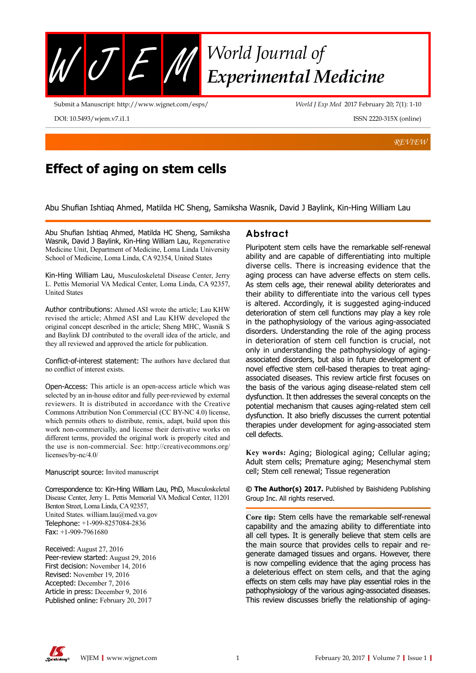

Submit a Manuscript: http://www.wjgnet.com/esps/

DOI: 10.5493/wjem.v7.i1.1

*World J Exp Med* 2017 February 20; 7(1): 1-10

ISSN 2220-315X (online)

*REVIEW*

# **Effect of aging on stem cells**

Abu Shufian Ishtiaq Ahmed, Matilda HC Sheng, Samiksha Wasnik, David J Baylink, Kin-Hing William Lau

Abu Shufian Ishtiaq Ahmed, Matilda HC Sheng, Samiksha Wasnik, David J Baylink, Kin-Hing William Lau, Regenerative Medicine Unit, Department of Medicine, Loma Linda University School of Medicine, Loma Linda, CA 92354, United States

Kin-Hing William Lau, Musculoskeletal Disease Center, Jerry L. Pettis Memorial VA Medical Center, Loma Linda, CA 92357, United States

Author contributions: Ahmed ASI wrote the article; Lau KHW revised the article; Ahmed ASI and Lau KHW developed the original concept described in the article; Sheng MHC, Wasnik S and Baylink DJ contributed to the overall idea of the article, and they all reviewed and approved the article for publication.

Conflict-of-interest statement: The authors have declared that no conflict of interest exists.

Open-Access: This article is an open-access article which was selected by an in-house editor and fully peer-reviewed by external reviewers. It is distributed in accordance with the Creative Commons Attribution Non Commercial (CC BY-NC 4.0) license, which permits others to distribute, remix, adapt, build upon this work non-commercially, and license their derivative works on different terms, provided the original work is properly cited and the use is non-commercial. See: http://creativecommons.org/ licenses/by-nc/4.0/

Manuscript source: Invited manuscript

Correspondence to: Kin-Hing William Lau, PhD, Musculoskeletal Disease Center, Jerry L. Pettis Memorial VA Medical Center, 11201 Benton Street, Loma Linda, CA 92357, United States. william.lau@med.va.gov Telephone: +1-909-8257084-2836 Fax: +1-909-7961680

Received: August 27, 2016 Peer-review started: August 29, 2016 First decision: November 14, 2016 Revised: November 19, 2016 Accepted: December 7, 2016 Article in press: December 9, 2016 Published online: February 20, 2017

### **Abstract**

Pluripotent stem cells have the remarkable self-renewal ability and are capable of differentiating into multiple diverse cells. There is increasing evidence that the aging process can have adverse effects on stem cells. As stem cells age, their renewal ability deteriorates and their ability to differentiate into the various cell types is altered. Accordingly, it is suggested aging-induced deterioration of stem cell functions may play a key role in the pathophysiology of the various aging-associated disorders. Understanding the role of the aging process in deterioration of stem cell function is crucial, not only in understanding the pathophysiology of agingassociated disorders, but also in future development of novel effective stem cell-based therapies to treat agingassociated diseases. This review article first focuses on the basis of the various aging disease-related stem cell dysfunction. It then addresses the several concepts on the potential mechanism that causes aging-related stem cell dysfunction. It also briefly discusses the current potential therapies under development for aging-associated stem cell defects.

**Key words:** Aging; Biological aging; Cellular aging; Adult stem cells; Premature aging; Mesenchymal stem cell; Stem cell renewal; Tissue regeneration

**© The Author(s) 2017.** Published by Baishideng Publishing Group Inc. All rights reserved.

**Core tip:** Stem cells have the remarkable self-renewal capability and the amazing ability to differentiate into all cell types. It is generally believe that stem cells are the main source that provides cells to repair and regenerate damaged tissues and organs. However, there is now compelling evidence that the aging process has a deleterious effect on stem cells, and that the aging effects on stem cells may have play essential roles in the pathophysiology of the various aging-associated diseases. This review discusses briefly the relationship of aging-

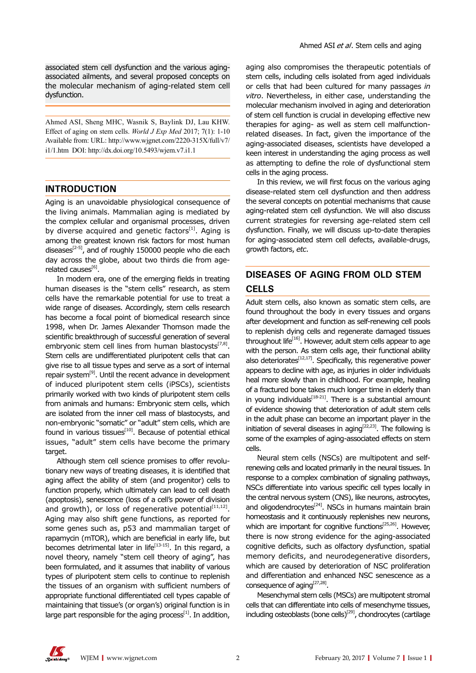associated stem cell dysfunction and the various agingassociated ailments, and several proposed concepts on the molecular mechanism of aging-related stem cell dysfunction.

Ahmed ASI, Sheng MHC, Wasnik S, Baylink DJ, Lau KHW. Effect of aging on stem cells. *World J Exp Med* 2017; 7(1): 1-10 Available from: URL: http://www.wjgnet.com/2220-315X/full/v7/ i1/1.htm DOI: http://dx.doi.org/10.5493/wjem.v7.i1.1

### **INTRODUCTION**

Aging is an unavoidable physiological consequence of the living animals. Mammalian aging is mediated by the complex cellular and organismal processes, driven by diverse acquired and genetic factors $[1]$ . Aging is among the greatest known risk factors for most human diseases $[2-5]$ , and of roughly 150000 people who die each day across the globe, about two thirds die from agerelated causes $^{[6]}$ .

In modern era, one of the emerging fields in treating human diseases is the "stem cells" research, as stem cells have the remarkable potential for use to treat a wide range of diseases. Accordingly, stem cells research has become a focal point of biomedical research since 1998, when Dr. James Alexander Thomson made the scientific breakthrough of successful generation of several embryonic stem cell lines from human blastocysts<sup>[7,8]</sup>. Stem cells are undifferentiated pluripotent cells that can give rise to all tissue types and serve as a sort of internal repair system<sup>[9]</sup>. Until the recent advance in development of induced pluripotent stem cells (iPSCs), scientists primarily worked with two kinds of pluripotent stem cells from animals and humans: Embryonic stem cells, which are isolated from the inner cell mass of blastocysts, and non-embryonic "somatic" or "adult" stem cells, which are found in various tissues $[10]$ . Because of potential ethical issues, "adult" stem cells have become the primary target.

Although stem cell science promises to offer revolutionary new ways of treating diseases, it is identified that aging affect the ability of stem (and progenitor) cells to function properly, which ultimately can lead to cell death (apoptosis), senescence (loss of a cell's power of division and growth), or loss of regenerative potential<sup>[11,12]</sup>. Aging may also shift gene functions, as reported for some genes such as, p53 and mammalian target of rapamycin (mTOR), which are beneficial in early life, but becomes detrimental later in life<sup>[13-15]</sup>. In this regard, a novel theory, namely "stem cell theory of aging", has been formulated, and it assumes that inability of various types of pluripotent stem cells to continue to replenish the tissues of an organism with sufficient numbers of appropriate functional differentiated cell types capable of maintaining that tissue's (or organ's) original function is in large part responsible for the aging process $[1]$ . In addition,

aging also compromises the therapeutic potentials of stem cells, including cells isolated from aged individuals or cells that had been cultured for many passages *in vitro*. Nevertheless, in either case, understanding the molecular mechanism involved in aging and deterioration of stem cell function is crucial in developing effective new therapies for aging- as well as stem cell malfunctionrelated diseases. In fact, given the importance of the aging-associated diseases, scientists have developed a keen interest in understanding the aging process as well as attempting to define the role of dysfunctional stem cells in the aging process.

In this review, we will first focus on the various aging disease-related stem cell dysfunction and then address the several concepts on potential mechanisms that cause aging-related stem cell dysfunction. We will also discuss current strategies for reversing age-related stem cell dysfunction. Finally, we will discuss up-to-date therapies for aging-associated stem cell defects, available-drugs, growth factors, *etc*.

## **DISEASES OF AGING FROM OLD STEM CELLS**

Adult stem cells, also known as somatic stem cells, are found throughout the body in every tissues and organs after development and function as self-renewing cell pools to replenish dying cells and regenerate damaged tissues throughout life<sup>[16]</sup>. However, adult stem cells appear to age with the person. As stem cells age, their functional ability also deteriorates $^{[12,17]}$ . Specifically, this regenerative power appears to decline with age, as injuries in older individuals heal more slowly than in childhood. For example, healing of a fractured bone takes much longer time in elderly than in young individuals $^{[18-21]}$ . There is a substantial amount of evidence showing that deterioration of adult stem cells in the adult phase can become an important player in the initiation of several diseases in aging $[22,23]$ . The following is some of the examples of aging-associated effects on stem cells.

Neural stem cells (NSCs) are multipotent and selfrenewing cells and located primarily in the neural tissues. In response to a complex combination of signaling pathways, NSCs differentiate into various specific cell types locally in the central nervous system (CNS), like neurons, astrocytes, and oligodendrocytes<sup>[24]</sup>. NSCs in humans maintain brain homeostasis and it continuously replenishes new neurons, which are important for cognitive functions<sup>[25,26]</sup>. However, there is now strong evidence for the aging-associated cognitive deficits, such as olfactory dysfunction, spatial memory deficits, and neurodegenerative disorders, which are caused by deterioration of NSC proliferation and differentiation and enhanced NSC senescence as a consequence of aging<sup>[27,28]</sup>.

Mesenchymal stem cells (MSCs) are multipotent stromal cells that can differentiate into cells of mesenchyme tissues, including osteoblasts (bone cells)<sup>[29]</sup>, chondrocytes (cartilage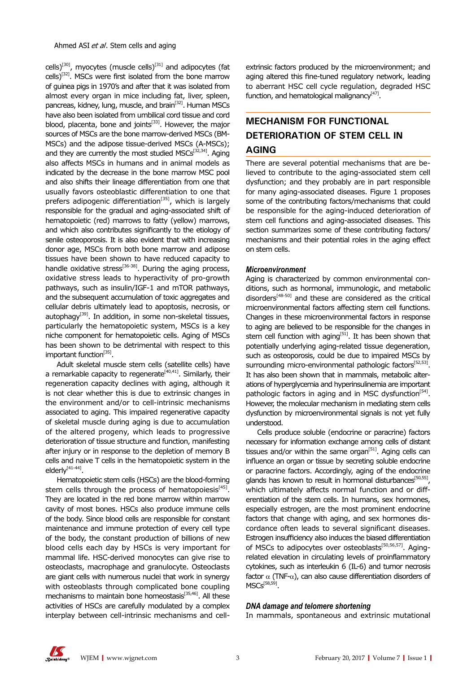cells)<sup>[30]</sup>, myocytes (muscle cells)<sup>[31]</sup> and adipocytes (fat  $\text{cells}$ <sup>[32]</sup>. MSCs were first isolated from the bone marrow of guinea pigs in 1970's and after that it was isolated from almost every organ in mice including fat, liver, spleen, pancreas, kidney, lung, muscle, and brain<sup>[32]</sup>. Human MSCs have also been isolated from umbilical cord tissue and cord blood, placenta, bone and joints<sup>[33]</sup>. However, the major sources of MSCs are the bone marrow-derived MSCs (BM-MSCs) and the adipose tissue-derived MSCs (A-MSCs); and they are currently the most studied MSCs<sup>[32,34]</sup>. Aging also affects MSCs in humans and in animal models as indicated by the decrease in the bone marrow MSC pool and also shifts their lineage differentiation from one that usually favors osteoblastic differentiation to one that prefers adipogenic differentiation<sup>[35]</sup>, which is largely responsible for the gradual and aging-associated shift of hematopoietic (red) marrows to fatty (yellow) marrows, and which also contributes significantly to the etiology of senile osteoporosis. It is also evident that with increasing donor age, MSCs from both bone marrow and adipose tissues have been shown to have reduced capacity to handle oxidative stress<sup>[36-38]</sup>. During the aging process, oxidative stress leads to hyperactivity of pro-growth pathways, such as insulin/IGF-1 and mTOR pathways, and the subsequent accumulation of toxic aggregates and cellular debris ultimately lead to apoptosis, necrosis, or autophagy<sup>[39]</sup>. In addition, in some non-skeletal tissues, particularly the hematopoietic system, MSCs is a key niche component for hematopoietic cells. Aging of MSCs has been shown to be detrimental with respect to this important function<sup>[35]</sup>.

Adult skeletal muscle stem cells (satellite cells) have a remarkable capacity to regenerate  $40,411$ . Similarly, their regeneration capacity declines with aging, although it is not clear whether this is due to extrinsic changes in the environment and/or to cell-intrinsic mechanisms associated to aging. This impaired regenerative capacity of skeletal muscle during aging is due to accumulation of the altered progeny, which leads to progressive deterioration of tissue structure and function, manifesting after injury or in response to the depletion of memory B cells and naive T cells in the hematopoietic system in the elderly<sup>[41-44]</sup>.

Hematopoietic stem cells (HSCs) are the blood-forming stem cells through the process of hematopoiesis $[45]$ . They are located in the red bone marrow within marrow cavity of most bones. HSCs also produce immune cells of the body. Since blood cells are responsible for constant maintenance and immune protection of every cell type of the body, the constant production of billions of new blood cells each day by HSCs is very important for mammal life. HSC-derived monocytes can give rise to osteoclasts, macrophage and granulocyte. Osteoclasts are giant cells with numerous nuclei that work in synergy with osteoblasts through complicated bone coupling mechanisms to maintain bone homeostasis<sup>[35,46]</sup>. All these activities of HSCs are carefully modulated by a complex interplay between cell-intrinsic mechanisms and cellextrinsic factors produced by the microenvironment; and aging altered this fine-tuned regulatory network, leading to aberrant HSC cell cycle regulation, degraded HSC function, and hematological malignancy $[47]$ .

## **MECHANISM FOR FUNCTIONAL DETERIORATION OF STEM CELL IN AGING**

There are several potential mechanisms that are believed to contribute to the aging-associated stem cell dysfunction; and they probably are in part responsible for many aging-associated diseases. Figure 1 proposes some of the contributing factors/mechanisms that could be responsible for the aging-induced deterioration of stem cell functions and aging-associated diseases. This section summarizes some of these contributing factors/ mechanisms and their potential roles in the aging effect on stem cells.

### *Microenvironment*

Aging is characterized by common environmental conditions, such as hormonal, immunologic, and metabolic disorders[48-50] and these are considered as the critical microenvironmental factors affecting stem cell functions. Changes in these microenvironmental factors in response to aging are believed to be responsible for the changes in stem cell function with aging<sup>[51]</sup>. It has been shown that potentially underlying aging-related tissue degeneration, such as osteoporosis, could be due to impaired MSCs by surrounding micro-environmental pathologic factors<sup>[52,53]</sup>. It has also been shown that in mammals, metabolic alterations of hyperglycemia and hyperinsulinemia are important pathologic factors in aging and in MSC dysfunction<sup>[54]</sup>. However, the molecular mechanism in mediating stem cells dysfunction by microenvironmental signals is not yet fully understood.

Cells produce soluble (endocrine or paracrine) factors necessary for information exchange among cells of distant tissues and/or within the same organ $[51]$ . Aging cells can influence an organ or tissue by secreting soluble endocrine or paracrine factors. Accordingly, aging of the endocrine glands has known to result in hormonal disturbances<sup>[50,55]</sup>, which ultimately affects normal function and or differentiation of the stem cells. In humans, sex hormones, especially estrogen, are the most prominent endocrine factors that change with aging, and sex hormones discordance often leads to several significant diseases. Estrogen insufficiency also induces the biased differentiation of MSCs to adipocytes over osteoblasts<sup>[50,56,57]</sup>. Agingrelated elevation in circulating levels of proinflammatory cytokines, such as interleukin 6 (IL-6) and tumor necrosis factor α (TNF-α), can also cause differentiation disorders of  $MSCs^{[58,59]}$ .

### *DNA damage and telomere shortening*

In mammals, spontaneous and extrinsic mutational

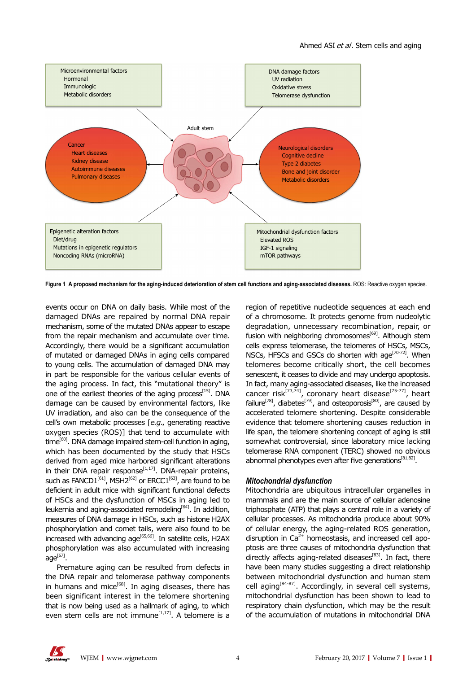

**Figure 1 A proposed mechanism for the aging-induced deterioration of stem cell functions and aging-associated diseases.** ROS: Reactive oxygen species.

events occur on DNA on daily basis. While most of the damaged DNAs are repaired by normal DNA repair mechanism, some of the mutated DNAs appear to escape from the repair mechanism and accumulate over time. Accordingly, there would be a significant accumulation of mutated or damaged DNAs in aging cells compared to young cells. The accumulation of damaged DNA may in part be responsible for the various cellular events of the aging process. In fact, this "mutational theory" is one of the earliest theories of the aging process $[15]$ . DNA damage can be caused by environmental factors, like UV irradiation, and also can be the consequence of the cell's own metabolic processes [*e.g*., generating reactive oxygen species (ROS)] that tend to accumulate with  $time^{[60]}$ . DNA damage impaired stem-cell function in aging, which has been documented by the study that HSCs derived from aged mice harbored significant alterations in their DNA repair response<sup>[1,17]</sup>. DNA-repair proteins, such as FANCD1<sup>[61]</sup>, MSH2<sup>[62]</sup> or ERCC1<sup>[63]</sup>, are found to be deficient in adult mice with significant functional defects of HSCs and the dysfunction of MSCs in aging led to leukemia and aging-associated remodeling $[64]$ . In addition, measures of DNA damage in HSCs, such as histone H2AX phosphorylation and comet tails, were also found to be increased with advancing age<sup>[65,66]</sup>. In satellite cells, H2AX phosphorylation was also accumulated with increasing  $aqe^{[67]}$ .

Premature aging can be resulted from defects in the DNA repair and telomerase pathway components in humans and mice<sup>[68]</sup>. In aging diseases, there has been significant interest in the telomere shortening that is now being used as a hallmark of aging, to which even stem cells are not immune $[1,17]$ . A telomere is a

region of repetitive nucleotide sequences at each end of a chromosome. It protects genome from nucleolytic degradation, unnecessary recombination, repair, or fusion with neighboring chromosomes<sup>[69]</sup>. Although stem cells express telomerase, the telomeres of HSCs, MSCs, NSCs, HFSCs and GSCs do shorten with age<sup>[70-72]</sup>. When telomeres become critically short, the cell becomes senescent, it ceases to divide and may undergo apoptosis. In fact, many aging-associated diseases, like the increased cancer risk<sup>[73,74]</sup>, coronary heart disease<sup>[75-77]</sup>, heart failure<sup>[78]</sup>, diabetes<sup>[79]</sup>, and osteoporosis<sup>[80]</sup>, are caused by accelerated telomere shortening. Despite considerable evidence that telomere shortening causes reduction in life span, the telomere shortening concept of aging is still somewhat controversial, since laboratory mice lacking telomerase RNA component (TERC) showed no obvious abnormal phenotypes even after five generations $[81,82]$ .

### *Mitochondrial dysfunction*

Mitochondria are ubiquitous intracellular organelles in mammals and are the main source of cellular adenosine triphosphate (ATP) that plays a central role in a variety of cellular processes. As mitochondria produce about 90% of cellular energy, the aging-related ROS generation, disruption in  $Ca<sup>2+</sup>$  homeostasis, and increased cell apoptosis are three causes of mitochondria dysfunction that directly affects aging-related diseases $[83]$ . In fact, there have been many studies suggesting a direct relationship between mitochondrial dysfunction and human stem cell aging<sup>[84-87]</sup>. Accordingly, in several cell systems, mitochondrial dysfunction has been shown to lead to respiratory chain dysfunction, which may be the result of the accumulation of mutations in mitochondrial DNA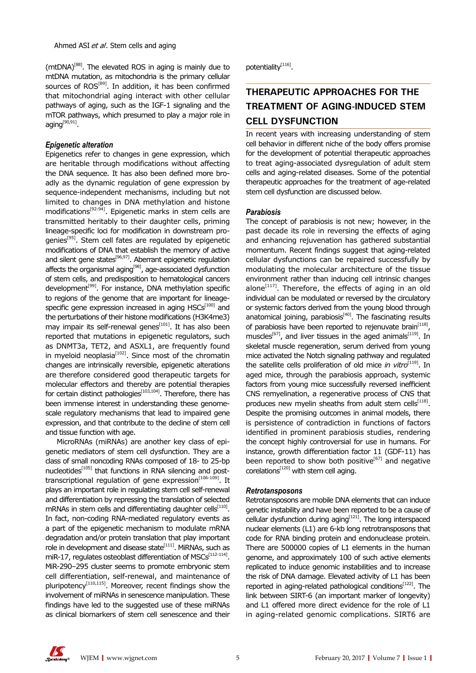(mtDNA)[88]. The elevated ROS in aging is mainly due to mtDNA mutation, as mitochondria is the primary cellular sources of ROS<sup>[89]</sup>. In addition, it has been confirmed that mitochondrial aging interact with other cellular pathways of aging, such as the IGF-1 signaling and the mTOR pathways, which presumed to play a major role in aging[90,91].

### *Epigenetic alteration*

Epigenetics refer to changes in gene expression, which are heritable through modifications without affecting the DNA sequence. It has also been defined more broadly as the dynamic regulation of gene expression by sequence-independent mechanisms, including but not limited to changes in DNA methylation and histone modifications[92-94]. Epigenetic marks in stem cells are transmitted heritably to their daughter cells, priming lineage-specific loci for modification in downstream progenies<sup>[95]</sup>. Stem cell fates are regulated by epigenetic modifications of DNA that establish the memory of active and silent gene states<sup>[96,97]</sup>. Aberrant epigenetic regulation affects the organismal aging<sup>[98]</sup>, age-associated dysfunction of stem cells, and predisposition to hematological cancers development<sup>[99]</sup>. For instance, DNA methylation specific to regions of the genome that are important for lineagespecific gene expression increased in aging  $HSCs<sup>[100]</sup>$  and the perturbations of their histone modifications (H3K4me3) may impair its self-renewal genes $\overline{S}^{[101]}$ . It has also been reported that mutations in epigenetic regulators, such as DNMT3a, TET2, and ASXL1, are frequently found in myeloid neoplasia $[102]$ . Since most of the chromatin changes are intrinsically reversible, epigenetic alterations are therefore considered good therapeutic targets for molecular effectors and thereby are potential therapies for certain distinct pathologies $[103,104]$ . Therefore, there has been immense interest in understanding these genomescale regulatory mechanisms that lead to impaired gene expression, and that contribute to the decline of stem cell and tissue function with age.

MicroRNAs (miRNAs) are another key class of epigenetic mediators of stem cell dysfunction. They are a class of small noncoding RNAs composed of 18- to 25-bp nucleotides<sup>[105]</sup> that functions in RNA silencing and posttranscriptional regulation of gene expression $[106-109]$ . It plays an important role in regulating stem cell self-renewal and differentiation by repressing the translation of selected mRNAs in stem cells and differentiating daughter cells $^{[110]}$ . In fact, non-coding RNA-mediated regulatory events as a part of the epigenetic mechanism to modulate mRNA degradation and/or protein translation that play important role in development and disease state $[111]$ . MiRNAs, such as miR-17, regulates osteoblast differentiation of  $MSCs^{[112-114]}$ . MiR-290–295 cluster seems to promote embryonic stem cell differentiation, self-renewal, and maintenance of pluripotency<sup>[110,115]</sup>. Moreover, recent findings show the involvement of miRNAs in senescence manipulation. These findings have led to the suggested use of these miRNAs as clinical biomarkers of stem cell senescence and their

potentiality<sup>[116]</sup>.

## **THERAPEUTIC APPROACHES FOR THE TREATMENT OF AGING-INDUCED STEM CELL DYSFUNCTION**

In recent years with increasing understanding of stem cell behavior in different niche of the body offers promise for the development of potential therapeutic approaches to treat aging-associated dysregulation of adult stem cells and aging-related diseases. Some of the potential therapeutic approaches for the treatment of age-related stem cell dysfunction are discussed below.

### *Parabiosis*

The concept of parabiosis is not new; however, in the past decade its role in reversing the effects of aging and enhancing rejuvenation has gathered substantial momentum. Recent findings suggest that aging-related cellular dysfunctions can be repaired successfully by modulating the molecular architecture of the tissue environment rather than inducing cell intrinsic changes alone $^{[117]}$ . Therefore, the effects of aging in an old individual can be modulated or reversed by the circulatory or systemic factors derived from the young blood through anatomical joining, parabiosis<sup>[40]</sup>. The fascinating results of parabiosis have been reported to rejenuvate brain<sup>[118]</sup>, muscles<sup>[67]</sup>, and liver tissues in the aged animals<sup>[119]</sup>. In skeletal muscle regeneration, serum derived from young mice activated the Notch signaling pathway and regulated the satellite cells proliferation of old mice *in vitro*<sup>[119]</sup>. In aged mice, through the parabiosis approach, systemic factors from young mice successfully reversed inefficient CNS remyelination, a regenerative process of CNS that produces new myelin sheaths from adult stem cells<sup>[118]</sup>. Despite the promising outcomes in animal models, there is persistence of contradiction in functions of factors identified in prominent parabiosis studies, rendering the concept highly controversial for use in humans. For instance, growth differentiation factor 11 (GDF-11) has been reported to show both positive<sup>[67]</sup> and negative  $corelations<sup>[120]</sup>$  with stem cell aging.

### *Retrotansposons*

Retrotansposons are mobile DNA elements that can induce genetic instability and have been reported to be a cause of cellular dysfunction during aging<sup>[121]</sup>. The long interspaced nuclear elements (L1) are 6-kb long retrotransposons that code for RNA binding protein and endonuclease protein. There are 500000 copies of L1 elements in the human genome, and approximately 100 of such active elements replicated to induce genomic instabilities and to increase the risk of DNA damage. Elevated activity of L1 has been reported in aging-related pathological conditions<sup>[122]</sup>. The link between SIRT-6 (an important marker of longevity) and L1 offered more direct evidence for the role of L1 in aging-related genomic complications. SIRT6 are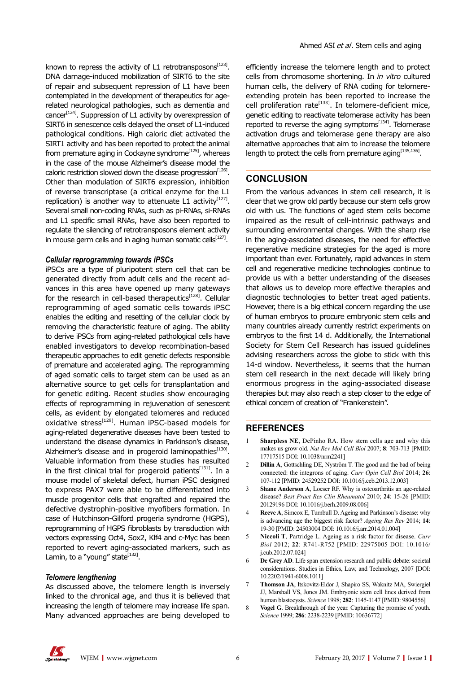known to repress the activity of L1 retrotransposons $^{[123]}$ . DNA damage-induced mobilization of SIRT6 to the site of repair and subsequent repression of L1 have been contemplated in the development of therapeutics for agerelated neurological pathologies, such as dementia and cancer<sup>[124]</sup>. Suppression of L1 activity by overexpression of SIRT6 in senescence cells delayed the onset of L1-induced pathological conditions. High caloric diet activated the SIRT1 activity and has been reported to protect the animal from premature aging in Cockayne syndrome<sup>[125]</sup>, whereas in the case of the mouse Alzheimer's disease model the caloric restriction slowed down the disease progression  $[126]$ . Other than modulation of SIRT6 expression, inhibition of reverse transcriptase (a critical enzyme for the L1 replication) is another way to attenuate L1 activity $[127]$ . Several small non-coding RNAs, such as pi-RNAs, si-RNAs and L1 specific small RNAs, have also been reported to regulate the silencing of retrotransposons element activity in mouse germ cells and in aging human somatic cells $^{[127]}$ .

### *Cellular reprogramming towards iPSCs*

iPSCs are a type of pluripotent stem cell that can be generated directly from adult cells and the recent advances in this area have opened up many gateways for the research in cell-based therapeutics $[128]$ . Cellular reprogramming of aged somatic cells towards iPSC enables the editing and resetting of the cellular clock by removing the characteristic feature of aging. The ability to derive iPSCs from aging-related pathological cells have enabled investigators to develop recombination-based therapeutic approaches to edit genetic defects responsible of premature and accelerated aging. The reprogramming of aged somatic cells to target stem can be used as an alternative source to get cells for transplantation and for genetic editing. Recent studies show encouraging effects of reprogramming in rejuvenation of senescent cells, as evident by elongated telomeres and reduced oxidative stress<sup>[129]</sup>. Human iPSC-based models for aging-related degenerative diseases have been tested to understand the disease dynamics in Parkinson's disease, Alzheimer's disease and in progeroid laminopathies[130]. Valuable information from these studies has resulted in the first clinical trial for progeroid patients $[131]$ . In a mouse model of skeletal defect, human iPSC designed to express PAX7 were able to be differentiated into muscle progenitor cells that engrafted and repaired the defective dystrophin-positive myofibers formation. In case of Hutchinson-Gilford progeria syndrome (HGPS), reprogramming of HGPS fibroblasts by transduction with vectors expressing Oct4, Sox2, Klf4 and c-Myc has been reported to revert aging-associated markers, such as Lamin, to a "young" state $[132]$ .

### *Telomere lengthening*

As discussed above, the telomere length is inversely linked to the chronical age, and thus it is believed that increasing the length of telomere may increase life span. Many advanced approaches are being developed to

efficiently increase the telomere length and to protect cells from chromosome shortening. In *in vitro* cultured human cells, the delivery of RNA coding for telomereextending protein has been reported to increase the cell proliferation rate<sup>[133]</sup>. In telomere-deficient mice, genetic editing to reactivate telomerase activity has been reported to reverse the aging symptoms $[134]$ . Telomerase activation drugs and telomerase gene therapy are also alternative approaches that aim to increase the telomere length to protect the cells from premature aging  $[135,136]$ .

### **CONCLUSION**

From the various advances in stem cell research, it is clear that we grow old partly because our stem cells grow old with us. The functions of aged stem cells become impaired as the result of cell-intrinsic pathways and surrounding environmental changes. With the sharp rise in the aging-associated diseases, the need for effective regenerative medicine strategies for the aged is more important than ever. Fortunately, rapid advances in stem cell and regenerative medicine technologies continue to provide us with a better understanding of the diseases that allows us to develop more effective therapies and diagnostic technologies to better treat aged patients. However, there is a big ethical concern regarding the use of human embryos to procure embryonic stem cells and many countries already currently restrict experiments on embryos to the first 14 d. Additionally, the International Society for Stem Cell Research has issued guidelines advising researchers across the globe to stick with this 14-d window. Nevertheless, it seems that the human stem cell research in the next decade will likely bring enormous progress in the aging-associated disease therapies but may also reach a step closer to the edge of ethical concern of creation of "Frankenstein".

### **REFERENCES**

- 1 **Sharpless NE**, DePinho RA. How stem cells age and why this makes us grow old. *Nat Rev Mol Cell Biol* 2007; **8**: 703-713 [PMID: 17717515 DOI: 10.1038/nrm2241]
- 2 **Dillin A**, Gottschling DE, Nyström T. The good and the bad of being connected: the integrons of aging. *Curr Opin Cell Biol* 2014; **26**: 107-112 [PMID: 24529252 DOI: 10.1016/j.ceb.2013.12.003]
- 3 **Shane Anderson A**, Loeser RF. Why is osteoarthritis an age-related disease? *Best Pract Res Clin Rheumatol* 2010; **24**: 15-26 [PMID: 20129196 DOI: 10.1016/j.berh.2009.08.006]
- 4 **Reeve A**, Simcox E, Turnbull D. Ageing and Parkinson's disease: why is advancing age the biggest risk factor? *Ageing Res Rev* 2014; **14**: 19-30 [PMID: 24503004 DOI: 10.1016/j.arr.2014.01.004]
- 5 **Niccoli T**, Partridge L. Ageing as a risk factor for disease. *Curr Biol* 2012; **22**: R741-R752 [PMID: 22975005 DOI: 10.1016/ j.cub.2012.07.024]
- 6 **De Grey AD**. Life span extension research and public debate: societal considerations. Studies in Ethics, Law, and Technology, 2007 [DOI: 10.2202/1941-6008.1011]
- 7 **Thomson JA**, Itskovitz-Eldor J, Shapiro SS, Waknitz MA, Swiergiel JJ, Marshall VS, Jones JM. Embryonic stem cell lines derived from human blastocysts. *Science* 1998; **282**: 1145-1147 [PMID: 9804556]
- 8 **Vogel G**. Breakthrough of the year. Capturing the promise of youth. *Science* 1999; **286**: 2238-2239 [PMID: 10636772]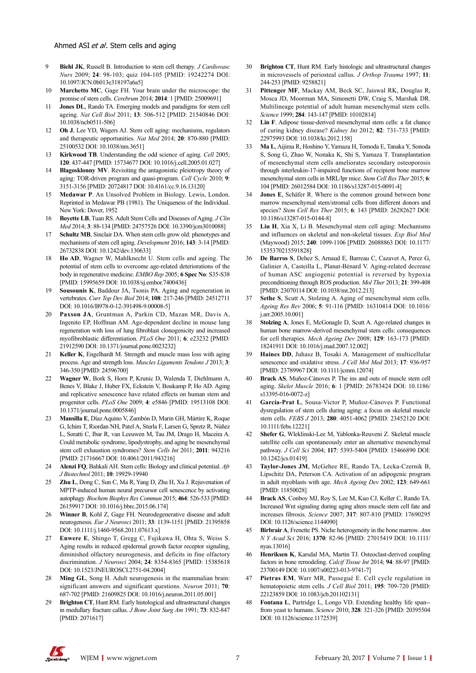- 9 **Biehl JK**, Russell B. Introduction to stem cell therapy. *J Cardiovasc Nurs* 2009; **24**: 98-103; quiz 104-105 [PMID: 19242274 DOI: 10.1097/JCN.0b013e318197a6a5]
- 10 **Marchetto MC**, Gage FH. Your brain under the microscope: the promise of stem cells. *Cerebrum* 2014; **2014**: 1 [PMID: 25009691]
- 11 **Jones DL**, Rando TA. Emerging models and paradigms for stem cell ageing. *Nat Cell Biol* 2011; **13**: 506-512 [PMID: 21540846 DOI: 10.1038/ncb0511-506]
- 12 **Oh J**, Lee YD, Wagers AJ. Stem cell aging: mechanisms, regulators and therapeutic opportunities. *Nat Med* 2014; **20**: 870-880 [PMID: 25100532 DOI: 10.1038/nm.3651]
- 13 **Kirkwood TB**. Understanding the odd science of aging. *Cell* 2005; **120**: 437-447 [PMID: 15734677 DOI: 10.1016/j.cell.2005.01.027]
- 14 **Blagosklonny MV**. Revisiting the antagonistic pleiotropy theory of aging: TOR-driven program and quasi-program. *Cell Cycle* 2010; **9**: 3151-3156 [PMID: 20724817 DOI: 10.4161/cc.9.16.13120]
- 15 **Medawar P**. An Unsolved Problem in Biology. Lewis, London. Reprinted in Medawar PB (1981). The Uniqueness of the Individual. New York: Dover, 1952
- 16 **Boyette LB**, Tuan RS. Adult Stem Cells and Diseases of Aging. *J Clin Med* 2014; **3**: 88-134 [PMID: 24757526 DOI: 10.3390/jcm3010088]
- 17 **Schultz MB**, Sinclair DA. When stem cells grow old: phenotypes and mechanisms of stem cell aging. *Development* 2016; **143**: 3-14 [PMID: 26732838 DOI: 10.1242/dev.130633]
- 18 **Ho AD**, Wagner W, Mahlknecht U. Stem cells and ageing. The potential of stem cells to overcome age-related deteriorations of the body in regenerative medicine. *EMBO Rep* 2005; **6 Spec No**: S35-S38 [PMID: 15995659 DOI: 10.1038/sj.embor.7400436]
- 19 **Sousounis K**, Baddour JA, Tsonis PA. Aging and regeneration in vertebrates. *Curr Top Dev Biol* 2014; **108**: 217-246 [PMID: 24512711 DOI: 10.1016/B978-0-12-391498-9.00008-5]
- 20 **Paxson JA**, Gruntman A, Parkin CD, Mazan MR, Davis A, Ingenito EP, Hoffman AM. Age-dependent decline in mouse lung regeneration with loss of lung fibroblast clonogenicity and increased myofibroblastic differentiation. *PLoS One* 2011; **6**: e23232 [PMID: 21912590 DOI: 10.1371/journal.pone.0023232]
- 21 **Keller K**, Engelhardt M. Strength and muscle mass loss with aging process. Age and strength loss. *Muscles Ligaments Tendons J* 2013; **3**: 346-350 [PMID: 24596700]
- 22 **Wagner W**, Bork S, Horn P, Krunic D, Walenda T, Diehlmann A, Benes V, Blake J, Huber FX, Eckstein V, Boukamp P, Ho AD. Aging and replicative senescence have related effects on human stem and progenitor cells. *PLoS One* 2009; **4**: e5846 [PMID: 19513108 DOI: 10.1371/journal.pone.0005846]
- 23 **Mansilla E**, Díaz Aquino V, Zambón D, Marin GH, Mártire K, Roque G, Ichim T, Riordan NH, Patel A, Sturla F, Larsen G, Spretz R, Núñez L, Soratti C, Ibar R, van Leeuwen M, Tau JM, Drago H, Maceira A. Could metabolic syndrome, lipodystrophy, and aging be mesenchymal stem cell exhaustion syndromes? *Stem Cells Int* 2011; **2011**: 943216 [PMID: 21716667 DOI: 10.4061/2011/943216]
- 24 **Alenzi FQ**, Bahkali AH. Stem cells: Biology and clinical potential. *Afr J Biotechnol* 2011; **10**: 19929-19940
- 25 **Zhu L**, Dong C, Sun C, Ma R, Yang D, Zhu H, Xu J. Rejuvenation of MPTP-induced human neural precursor cell senescence by activating autophagy. *Biochem Biophys Res Commun* 2015; **464**: 526-533 [PMID: 26159917 DOI: 10.1016/j.bbrc.2015.06.174]
- 26 **Winner B**, Kohl Z, Gage FH. Neurodegenerative disease and adult neurogenesis. *Eur J Neurosci* 2011; **33**: 1139-1151 [PMID: 21395858 DOI: 10.1111/j.1460-9568.2011.07613.x]
- 27 **Enwere E**, Shingo T, Gregg C, Fujikawa H, Ohta S, Weiss S. Aging results in reduced epidermal growth factor receptor signaling, diminished olfactory neurogenesis, and deficits in fine olfactory discrimination. *J Neurosci* 2004; **24**: 8354-8365 [PMID: 15385618 DOI: 10.1523/JNEUROSCI.2751-04.2004]
- 28 **Ming GL**, Song H. Adult neurogenesis in the mammalian brain: significant answers and significant questions. *Neuron* 2011; **70**: 687-702 [PMID: 21609825 DOI: 10.1016/j.neuron.2011.05.001]
- 29 **Brighton CT**, Hunt RM. Early histological and ultrastructural changes in medullary fracture callus. *J Bone Joint Surg Am* 1991; **73**: 832-847 [PMID: 2071617]
- 30 **Brighton CT**, Hunt RM. Early histologic and ultrastructural changes in microvessels of periosteal callus. *J Orthop Trauma* 1997; **11**: 244-253 [PMID: 9258821]
- 31 **Pittenger MF**, Mackay AM, Beck SC, Jaiswal RK, Douglas R, Mosca JD, Moorman MA, Simonetti DW, Craig S, Marshak DR. Multilineage potential of adult human mesenchymal stem cells. *Science* 1999; **284**: 143-147 [PMID: 10102814]
- 32 **Lin F**. Adipose tissue-derived mesenchymal stem cells: a fat chance of curing kidney disease? *Kidney Int* 2012; **82**: 731-733 [PMID: 22975993 DOI: 10.1038/ki.2012.158]
- 33 **Ma L**, Aijima R, Hoshino Y, Yamaza H, Tomoda E, Tanaka Y, Sonoda S, Song G, Zhao W, Nonaka K, Shi S, Yamaza T. Transplantation of mesenchymal stem cells ameliorates secondary osteoporosis through interleukin-17-impaired functions of recipient bone marrow mesenchymal stem cells in MRL/lpr mice. *Stem Cell Res Ther* 2015; **6**: 104 [PMID: 26012584 DOI: 10.1186/s13287-015-0091-4]
- Jones E, Schäfer R. Where is the common ground between bone marrow mesenchymal stem/stromal cells from different donors and species? *Stem Cell Res Ther* 2015; **6**: 143 [PMID: 26282627 DOI: 10.1186/s13287-015-0144-8]
- 35 **Liu H**, Xia X, Li B. Mesenchymal stem cell aging: Mechanisms and influences on skeletal and non-skeletal tissues. *Exp Biol Med*  (Maywood) 2015; **240**: 1099-1106 [PMID: 26088863 DOI: 10.1177/ 1535370215591828]
- 36 **De Barros S**, Dehez S, Arnaud E, Barreau C, Cazavet A, Perez G, Galinier A, Casteilla L, Planat-Bénard V. Aging-related decrease of human ASC angiogenic potential is reversed by hypoxia preconditioning through ROS production. *Mol Ther* 2013; **21**: 399-408 [PMID: 23070114 DOI: 10.1038/mt.2012.213]
- 37 **Sethe S**, Scutt A, Stolzing A. Aging of mesenchymal stem cells. *Ageing Res Rev* 2006; **5**: 91-116 [PMID: 16310414 DOI: 10.1016/ j.arr.2005.10.001]
- 38 **Stolzing A**, Jones E, McGonagle D, Scutt A. Age-related changes in human bone marrow-derived mesenchymal stem cells: consequences for cell therapies. *Mech Ageing Dev* 2008; **129**: 163-173 [PMID: 18241911 DOI: 10.1016/j.mad.2007.12.002]
- 39 **Haines DD**, Juhasz B, Tosaki A. Management of multicellular senescence and oxidative stress. *J Cell Mol Med* 2013; **17**: 936-957 [PMID: 23789967 DOI: 10.1111/jcmm.12074]
- 40 **Brack AS**, Muñoz-Cánoves P. The ins and outs of muscle stem cell aging. *Skelet Muscle* 2016; **6**: 1 [PMID: 26783424 DOI: 10.1186/ s13395-016-0072-z]
- 41 **García-Prat L**, Sousa-Victor P, Muñoz-Cánoves P. Functional dysregulation of stem cells during aging: a focus on skeletal muscle stem cells. *FEBS J* 2013; **280**: 4051-4062 [PMID: 23452120 DOI: 10.1111/febs.12221]
- 42 **Shefer G**, Wleklinski-Lee M, Yablonka-Reuveni Z. Skeletal muscle satellite cells can spontaneously enter an alternative mesenchymal pathway. *J Cell Sci* 2004; **117**: 5393-5404 [PMID: 15466890 DOI: 10.1242/jcs.01419]
- Taylor-Jones JM, McGehee RE, Rando TA, Lecka-Czernik B, Lipschitz DA, Peterson CA. Activation of an adipogenic program in adult myoblasts with age. *Mech Ageing Dev* 2002; **123**: 649-661 [PMID: 11850028]
- 44 **Brack AS**, Conboy MJ, Roy S, Lee M, Kuo CJ, Keller C, Rando TA. Increased Wnt signaling during aging alters muscle stem cell fate and increases fibrosis. *Science* 2007; **317**: 807-810 [PMID: 17690295 DOI: 10.1126/science.1144090]
- 45 **Birbrair A**, Frenette PS. Niche heterogeneity in the bone marrow. *Ann N Y Acad Sci* 2016; **1370**: 82-96 [PMID: 27015419 DOI: 10.1111/ nyas.13016]
- Henriksen K, Karsdal MA, Martin TJ. Osteoclast-derived coupling factors in bone remodeling. *Calcif Tissue Int* 2014; **94**: 88-97 [PMID: 23700149 DOI: 10.1007/s00223-013-9741-7]
- 47 **Pietras EM**, Warr MR, Passegué E. Cell cycle regulation in hematopoietic stem cells. *J Cell Biol* 2011; **195**: 709-720 [PMID: 22123859 DOI: 10.1083/jcb.201102131]
- 48 **Fontana L**, Partridge L, Longo VD. Extending healthy life span- from yeast to humans. *Science* 2010; **328**: 321-326 [PMID: 20395504 DOI: 10.1126/science.1172539]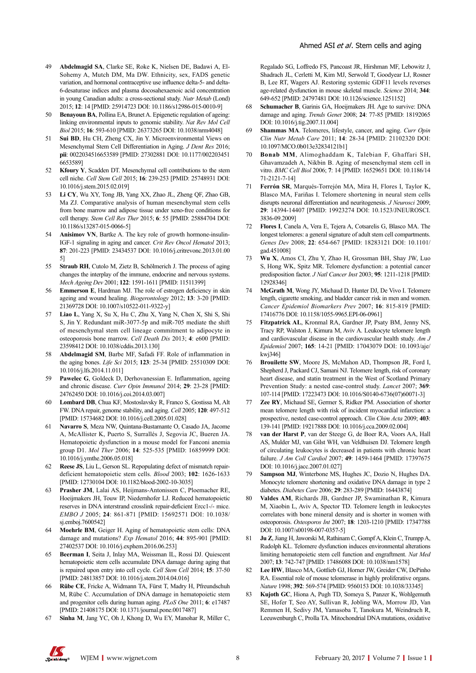- 49 **Abdelmagid SA**, Clarke SE, Roke K, Nielsen DE, Badawi A, El-Sohemy A, Mutch DM, Ma DW. Ethnicity, sex, FADS genetic variation, and hormonal contraceptive use influence delta-5- and delta-6-desaturase indices and plasma docosahexaenoic acid concentration in young Canadian adults: a cross-sectional study. *Nutr Metab* (Lond) 2015; **12**: 14 [PMID: 25914723 DOI: 10.1186/s12986-015-0010-9]
- Benayoun BA, Pollina EA, Brunet A. Epigenetic regulation of ageing: linking environmental inputs to genomic stability. *Nat Rev Mol Cell Biol* 2015; **16**: 593-610 [PMID: 26373265 DOI: 10.1038/nrm4048]
- Sui BD, Hu CH, Zheng CX, Jin Y. Microenvironmental Views on Mesenchymal Stem Cell Differentiation in Aging. *J Dent Res* 2016; **pii**: 0022034516653589 [PMID: 27302881 DOI: 10.1177/002203451 6653589]
- 52 **Kfoury Y**, Scadden DT. Mesenchymal cell contributions to the stem cell niche. *Cell Stem Cell* 2015; **16**: 239-253 [PMID: 25748931 DOI: 10.1016/j.stem.2015.02.019]
- 53 **Li CY**, Wu XY, Tong JB, Yang XX, Zhao JL, Zheng QF, Zhao GB, Ma ZJ. Comparative analysis of human mesenchymal stem cells from bone marrow and adipose tissue under xeno-free conditions for cell therapy. *Stem Cell Res Ther* 2015; **6**: 55 [PMID: 25884704 DOI: 10.1186/s13287-015-0066-5]
- 54 **Anisimov VN**, Bartke A. The key role of growth hormone-insulin-IGF-1 signaling in aging and cancer. *Crit Rev Oncol Hematol* 2013; **87**: 201-223 [PMID: 23434537 DOI: 10.1016/j.critrevonc.2013.01.00 5]
- 55 **Straub RH**, Cutolo M, Zietz B, Schölmerich J. The process of aging changes the interplay of the immune, endocrine and nervous systems. *Mech Ageing Dev* 2001; **122**: 1591-1611 [PMID: 11511399]
- 56 **Emmerson E**, Hardman MJ. The role of estrogen deficiency in skin ageing and wound healing. *Biogerontology* 2012; **13**: 3-20 [PMID: 21369728 DOI: 10.1007/s10522-011-9322-y]
- 57 **Liao L**, Yang X, Su X, Hu C, Zhu X, Yang N, Chen X, Shi S, Shi S, Jin Y. Redundant miR-3077-5p and miR-705 mediate the shift of mesenchymal stem cell lineage commitment to adipocyte in osteoporosis bone marrow. *Cell Death Dis* 2013; **4**: e600 [PMID: 23598412 DOI: 10.1038/cddis.2013.130]
- 58 **Abdelmagid SM**, Barbe MF, Safadi FF. Role of inflammation in the aging bones. *Life Sci* 2015; **123**: 25-34 [PMID: 25510309 DOI: 10.1016/j.lfs.2014.11.011]
- 59 **Pawelec G**, Goldeck D, Derhovanessian E. Inflammation, ageing and chronic disease. *Curr Opin Immunol* 2014; **29**: 23-28 [PMID: 24762450 DOI: 10.1016/j.coi.2014.03.007]
- 60 **Lombard DB**, Chua KF, Mostoslavsky R, Franco S, Gostissa M, Alt FW. DNA repair, genome stability, and aging. *Cell* 2005; **120**: 497-512 [PMID: 15734682 DOI: 10.1016/j.cell.2005.01.028]
- 61 **Navarro S**, Meza NW, Quintana-Bustamante O, Casado JA, Jacome A, McAllister K, Puerto S, Surrallés J, Segovia JC, Bueren JA. Hematopoietic dysfunction in a mouse model for Fanconi anemia group D1. *Mol Ther* 2006; **14**: 525-535 [PMID: 16859999 DOI: 10.1016/j.ymthe.2006.05.018]
- 62 **Reese JS**, Liu L, Gerson SL. Repopulating defect of mismatch repairdeficient hematopoietic stem cells. *Blood* 2003; **102**: 1626-1633 [PMID: 12730104 DOI: 10.1182/blood-2002-10-3035]
- 63 **Prasher JM**, Lalai AS, Heijmans-Antonissen C, Ploemacher RE, Hoeijmakers JH, Touw IP, Niedernhofer LJ. Reduced hematopoietic reserves in DNA interstrand crosslink repair-deficient Ercc1-/- mice. *EMBO J* 2005; **24**: 861-871 [PMID: 15692571 DOI: 10.1038/ si.emboj.76005421
- 64 **Moehrle BM**, Geiger H. Aging of hematopoietic stem cells: DNA damage and mutations? *Exp Hematol* 2016; **44**: 895-901 [PMID: 27402537 DOI: 10.1016/j.exphem.2016.06.253]
- 65 **Beerman I**, Seita J, Inlay MA, Weissman IL, Rossi DJ. Quiescent hematopoietic stem cells accumulate DNA damage during aging that is repaired upon entry into cell cycle. *Cell Stem Cell* 2014; **15**: 37-50 [PMID: 24813857 DOI: 10.1016/j.stem.2014.04.016]
- 66 **Rübe CE**, Fricke A, Widmann TA, Fürst T, Madry H, Pfreundschuh M, Rübe C. Accumulation of DNA damage in hematopoietic stem and progenitor cells during human aging. *PLoS One* 2011; **6**: e17487 [PMID: 21408175 DOI: 10.1371/journal.pone.0017487]
- 67 **Sinha M**, Jang YC, Oh J, Khong D, Wu EY, Manohar R, Miller C,

Regalado SG, Loffredo FS, Pancoast JR, Hirshman MF, Lebowitz J, Shadrach JL, Cerletti M, Kim MJ, Serwold T, Goodyear LJ, Rosner B, Lee RT, Wagers AJ. Restoring systemic GDF11 levels reverses age-related dysfunction in mouse skeletal muscle. *Science* 2014; **344**: 649-652 [PMID: 24797481 DOI: 10.1126/science.1251152]

- 68 **Schumacher B**, Garinis GA, Hoeijmakers JH. Age to survive: DNA damage and aging. *Trends Genet* 2008; **24**: 77-85 [PMID: 18192065 DOI: 10.1016/j.tig.2007.11.004]
- 69 **Shammas MA**. Telomeres, lifestyle, cancer, and aging. *Curr Opin Clin Nutr Metab Care* 2011; **14**: 28-34 [PMID: 21102320 DOI: 10.1097/MCO.0b013e32834121b1]
- 70 **Bonab MM**, Alimoghaddam K, Talebian F, Ghaffari SH, Ghavamzadeh A, Nikbin B. Aging of mesenchymal stem cell in vitro. *BMC Cell Biol* 2006; **7**: 14 [PMID: 16529651 DOI: 10.1186/14 71-2121-7-14]
- 71 **Ferrón SR**, Marqués-Torrejón MA, Mira H, Flores I, Taylor K, Blasco MA, Fariñas I. Telomere shortening in neural stem cells disrupts neuronal differentiation and neuritogenesis. *J Neurosci* 2009; **29**: 14394-14407 [PMID: 19923274 DOI: 10.1523/JNEUROSCI. 3836-09.2009]
- 72 **Flores I**, Canela A, Vera E, Tejera A, Cotsarelis G, Blasco MA. The longest telomeres: a general signature of adult stem cell compartments. *Genes Dev* 2008; **22**: 654-667 [PMID: 18283121 DOI: 10.1101/ gad.451008]
- 73 **Wu X**, Amos CI, Zhu Y, Zhao H, Grossman BH, Shay JW, Luo S, Hong WK, Spitz MR. Telomere dysfunction: a potential cancer predisposition factor. *J Natl Cancer Inst* 2003; **95**: 1211-1218 [PMID: 12928346]
- McGrath M, Wong JY, Michaud D, Hunter DJ, De Vivo I. Telomere length, cigarette smoking, and bladder cancer risk in men and women. *Cancer Epidemiol Biomarkers Prev* 2007; **16**: 815-819 [PMID: 17416776 DOI: 10.1158/1055-9965.EPI-06-0961]
- Fitzpatrick AL, Kronmal RA, Gardner JP, Psaty BM, Jenny NS, Tracy RP, Walston J, Kimura M, Aviv A. Leukocyte telomere length and cardiovascular disease in the cardiovascular health study. *Am J Epidemiol* 2007; **165**: 14-21 [PMID: 17043079 DOI: 10.1093/aje/ kwj346]
- 76 **Brouilette SW**, Moore JS, McMahon AD, Thompson JR, Ford I, Shepherd J, Packard CJ, Samani NJ. Telomere length, risk of coronary heart disease, and statin treatment in the West of Scotland Primary Prevention Study: a nested case-control study. *Lancet* 2007; **369**: 107-114 [PMID: 17223473 DOI: 10.1016/S0140-6736(07)60071-3]
- 77 **Zee RY**, Michaud SE, Germer S, Ridker PM. Association of shorter mean telomere length with risk of incident myocardial infarction: a prospective, nested case-control approach. *Clin Chim Acta* 2009; **403**: 139-141 [PMID: 19217888 DOI: 10.1016/j.cca.2009.02.004]
- van der Harst P, van der Steege G, de Boer RA, Voors AA, Hall AS, Mulder MJ, van Gilst WH, van Veldhuisen DJ. Telomere length of circulating leukocytes is decreased in patients with chronic heart failure. *J Am Coll Cardiol* 2007; **49**: 1459-1464 [PMID: 17397675 DOI: 10.1016/j.jacc.2007.01.027]
- 79 **Sampson MJ**, Winterbone MS, Hughes JC, Dozio N, Hughes DA. Monocyte telomere shortening and oxidative DNA damage in type 2 diabetes. *Diabetes Care* 2006; **29**: 283-289 [PMID: 16443874]
- Valdes AM, Richards JB, Gardner JP, Swaminathan R, Kimura M, Xiaobin L, Aviv A, Spector TD. Telomere length in leukocytes correlates with bone mineral density and is shorter in women with osteoporosis. *Osteoporos Int* 2007; **18**: 1203-1210 [PMID: 17347788 DOI: 10.1007/s00198-007-0357-5]
- 81 **Ju Z**, Jiang H, Jaworski M, Rathinam C, Gompf A, Klein C, Trumpp A, Rudolph KL. Telomere dysfunction induces environmental alterations limiting hematopoietic stem cell function and engraftment. *Nat Med* 2007; **13**: 742-747 [PMID: 17486088 DOI: 10.1038/nm1578]
- 82 **Lee HW**, Blasco MA, Gottlieb GJ, Horner JW, Greider CW, DePinho RA. Essential role of mouse telomerase in highly proliferative organs. *Nature* 1998; **392**: 569-574 [PMID: 9560153 DOI: 10.1038/33345]
- 83 **Kujoth GC**, Hiona A, Pugh TD, Someya S, Panzer K, Wohlgemuth SE, Hofer T, Seo AY, Sullivan R, Jobling WA, Morrow JD, Van Remmen H, Sedivy JM, Yamasoba T, Tanokura M, Weindruch R, Leeuwenburgh C, Prolla TA. Mitochondrial DNA mutations, oxidative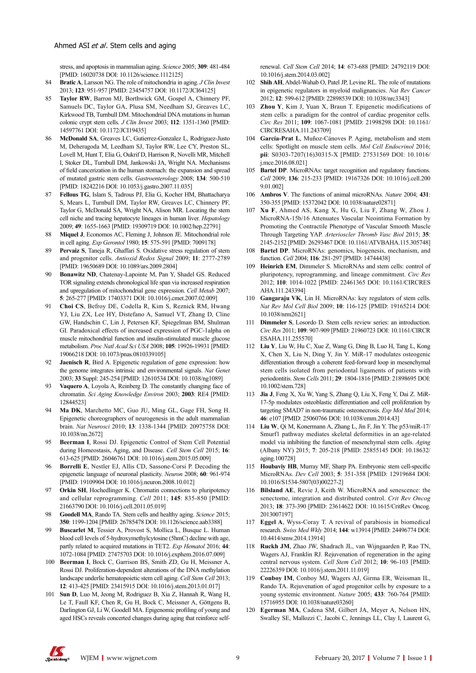stress, and apoptosis in mammalian aging. *Science* 2005; **309**: 481-484 [PMID: 16020738 DOI: 10.1126/science.1112125]

- 84 **Bratic A**, Larsson NG. The role of mitochondria in aging. *J Clin Invest* 2013; **123**: 951-957 [PMID: 23454757 DOI: 10.1172/JCI64125]
- 85 **Taylor RW**, Barron MJ, Borthwick GM, Gospel A, Chinnery PF, Samuels DC, Taylor GA, Plusa SM, Needham SJ, Greaves LC, Kirkwood TB, Turnbull DM. Mitochondrial DNA mutations in human colonic crypt stem cells. *J Clin Invest* 2003; **112**: 1351-1360 [PMID: 14597761 DOI: 10.1172/JCI19435]
- 86 **McDonald SA**, Greaves LC, Gutierrez-Gonzalez L, Rodriguez-Justo M, Deheragoda M, Leedham SJ, Taylor RW, Lee CY, Preston SL, Lovell M, Hunt T, Elia G, Oukrif D, Harrison R, Novelli MR, Mitchell I, Stoker DL, Turnbull DM, Jankowski JA, Wright NA. Mechanisms of field cancerization in the human stomach: the expansion and spread of mutated gastric stem cells. *Gastroenterology* 2008; **134**: 500-510 [PMID: 18242216 DOI: 10.1053/j.gastro.2007.11.035]
- 87 **Fellous TG**, Islam S, Tadrous PJ, Elia G, Kocher HM, Bhattacharya S, Mears L, Turnbull DM, Taylor RW, Greaves LC, Chinnery PF, Taylor G, McDonald SA, Wright NA, Alison MR. Locating the stem cell niche and tracing hepatocyte lineages in human liver. *Hepatology* 2009; **49**: 1655-1663 [PMID: 19309719 DOI: 10.1002/hep.22791]
- 88 **Miquel J**, Economos AC, Fleming J, Johnson JE. Mitochondrial role in cell aging. *Exp Gerontol* 1980; **15**: 575-591 [PMID: 7009178]
- 89 **Pervaiz S**, Taneja R, Ghaffari S. Oxidative stress regulation of stem and progenitor cells. *Antioxid Redox Signal* 2009; **11**: 2777-2789 [PMID: 19650689 DOI: 10.1089/ars.2009.2804]
- 90 **Bonawitz ND**, Chatenay-Lapointe M, Pan Y, Shadel GS. Reduced TOR signaling extends chronological life span via increased respiration and upregulation of mitochondrial gene expression. *Cell Metab* 2007; **5**: 265-277 [PMID: 17403371 DOI: 10.1016/j.cmet.2007.02.009]
- 91 **Choi CS**, Befroy DE, Codella R, Kim S, Reznick RM, Hwang YJ, Liu ZX, Lee HY, Distefano A, Samuel VT, Zhang D, Cline GW, Handschin C, Lin J, Petersen KF, Spiegelman BM, Shulman GI. Paradoxical effects of increased expression of PGC-1alpha on muscle mitochondrial function and insulin-stimulated muscle glucose metabolism. *Proc Natl Acad Sci USA* 2008; **105**: 19926-19931 [PMID: 19066218 DOI: 10.1073/pnas.0810339105]
- 92 **Jaenisch R**, Bird A. Epigenetic regulation of gene expression: how the genome integrates intrinsic and environmental signals. *Nat Genet* 2003; **33** Suppl: 245-254 [PMID: 12610534 DOI: 10.1038/ng1089]
- 93 **Vaquero A**, Loyola A, Reinberg D. The constantly changing face of chromatin. *Sci Aging Knowledge Environ* 2003; **2003**: RE4 [PMID: 12844523]
- 94 **Ma DK**, Marchetto MC, Guo JU, Ming GL, Gage FH, Song H. Epigenetic choreographers of neurogenesis in the adult mammalian brain. *Nat Neurosci* 2010; **13**: 1338-1344 [PMID: 20975758 DOI: 10.1038/nn.2672]
- 95 **Beerman I**, Rossi DJ. Epigenetic Control of Stem Cell Potential during Homeostasis, Aging, and Disease. *Cell Stem Cell* 2015; **16**: 613-625 [PMID: 26046761 DOI: 10.1016/j.stem.2015.05.009]
- 96 **Borrelli E**, Nestler EJ, Allis CD, Sassone-Corsi P. Decoding the epigenetic language of neuronal plasticity. *Neuron* 2008; **60**: 961-974 [PMID: 19109904 DOI: 10.1016/j.neuron.2008.10.012]
- 97 **Orkin SH**, Hochedlinger K. Chromatin connections to pluripotency and cellular reprogramming. *Cell* 2011; **145**: 835-850 [PMID: 21663790 DOI: 10.1016/j.cell.2011.05.019]
- 98 **Goodell MA**, Rando TA. Stem cells and healthy aging. *Science* 2015; **350**: 1199-1204 [PMID: 26785478 DOI: 10.1126/science.aab3388]
- 99 **Buscarlet M**, Tessier A, Provost S, Mollica L, Busque L. Human blood cell levels of 5-hydroxymethylcytosine (5hmC) decline with age, partly related to acquired mutations in TET2. *Exp Hematol* 2016; **44**: 1072-1084 [PMID: 27475703 DOI: 10.1016/j.exphem.2016.07.009]
- 100 **Beerman I**, Bock C, Garrison BS, Smith ZD, Gu H, Meissner A, Rossi DJ. Proliferation-dependent alterations of the DNA methylation landscape underlie hematopoietic stem cell aging. *Cell Stem Cell* 2013; **12**: 413-425 [PMID: 23415915 DOI: 10.1016/j.stem.2013.01.017]
- 101 **Sun D**, Luo M, Jeong M, Rodriguez B, Xia Z, Hannah R, Wang H, Le T, Faull KF, Chen R, Gu H, Bock C, Meissner A, Göttgens B, Darlington GJ, Li W, Goodell MA. Epigenomic profiling of young and aged HSCs reveals concerted changes during aging that reinforce self-

renewal. *Cell Stem Cell* 2014; **14**: 673-688 [PMID: 24792119 DOI: 10.1016/j.stem.2014.03.002]

- 102 **Shih AH**, Abdel-Wahab O, Patel JP, Levine RL. The role of mutations in epigenetic regulators in myeloid malignancies. *Nat Rev Cancer* 2012; **12**: 599-612 [PMID: 22898539 DOI: 10.1038/nrc3343]
- 103 **Zhou Y**, Kim J, Yuan X, Braun T. Epigenetic modifications of stem cells: a paradigm for the control of cardiac progenitor cells. *Circ Res* 2011; **109**: 1067-1081 [PMID: 21998298 DOI: 10.1161/ CIRCRESAHA.111.243709]
- 104 **García-Prat L**, Muñoz-Cánoves P. Aging, metabolism and stem cells: Spotlight on muscle stem cells. *Mol Cell Endocrinol* 2016; **pii**: S0303-7207(16)30315-X [PMID: 27531569 DOI: 10.1016/ j.mce.2016.08.021]
- 105 **Bartel DP**. MicroRNAs: target recognition and regulatory functions. *Cell* 2009; **136**: 215-233 [PMID: 19167326 DOI: 10.1016/j.cell.200 9.01.002]
- 106 **Ambros V**. The functions of animal microRNAs. *Nature* 2004; **431**: 350-355 [PMID: 15372042 DOI: 10.1038/nature02871]
- Xu F, Ahmed AS, Kang X, Hu G, Liu F, Zhang W, Zhou J. MicroRNA-15b/16 Attenuates Vascular Neointima Formation by Promoting the Contractile Phenotype of Vascular Smooth Muscle Through Targeting YAP. *Arterioscler Thromb Vasc Biol* 2015; **35**: 2145-2152 [PMID: 26293467 DOI: 10.1161/ATVBAHA.115.305748]
- 108 **Bartel DP**. MicroRNAs: genomics, biogenesis, mechanism, and function. *Cell* 2004; **116**: 281-297 [PMID: 14744438]
- 109 **Heinrich EM**, Dimmeler S. MicroRNAs and stem cells: control of pluripotency, reprogramming, and lineage commitment. *Circ Res* 2012; **110**: 1014-1022 [PMID: 22461365 DOI: 10.1161/CIRCRES AHA.111.243394]
- 110 **Gangaraju VK**, Lin H. MicroRNAs: key regulators of stem cells. *Nat Rev Mol Cell Biol* 2009; **10**: 116-125 [PMID: 19165214 DOI: 10.1038/nrm2621]
- 111 **Dimmeler S**, Losordo D. Stem cells review series: an introduction. *Circ Res* 2011; **109**: 907-909 [PMID: 21960723 DOI: 10.1161/CIRCR ESAHA.111.255570]
- 112 **Liu Y**, Liu W, Hu C, Xue Z, Wang G, Ding B, Luo H, Tang L, Kong X, Chen X, Liu N, Ding Y, Jin Y. MiR-17 modulates osteogenic differentiation through a coherent feed-forward loop in mesenchymal stem cells isolated from periodontal ligaments of patients with periodontitis. *Stem Cells* 2011; **29**: 1804-1816 [PMID: 21898695 DOI: 10.1002/stem.728]
- 113 **Jia J**, Feng X, Xu W, Yang S, Zhang Q, Liu X, Feng Y, Dai Z. MiR-17-5p modulates osteoblastic differentiation and cell proliferation by targeting SMAD7 in non-traumatic osteonecrosis. *Exp Mol Med* 2014; **46**: e107 [PMID: 25060766 DOI: 10.1038/emm.2014.43]
- 114 **Liu W**, Qi M, Konermann A, Zhang L, Jin F, Jin Y. The p53/miR-17/ Smurf1 pathway mediates skeletal deformities in an age-related model via inhibiting the function of mesenchymal stem cells. *Aging* (Albany NY) 2015; **7**: 205-218 [PMID: 25855145 DOI: 10.18632/ aging.100728]
- 115 **Houbaviy HB**, Murray MF, Sharp PA. Embryonic stem cell-specific MicroRNAs. *Dev Cell* 2003; **5**: 351-358 [PMID: 12919684 DOI: 10.1016/S1534-5807(03)00227-2]
- 116 **Bilsland AE**, Revie J, Keith W. MicroRNA and senescence: the senectome, integration and distributed control. *Crit Rev Oncog* 2013; **18**: 373-390 [PMID: 23614622 DOI: 10.1615/CritRev Oncog. 2013007197]
- 117 **Eggel A**, Wyss-Coray T. A revival of parabiosis in biomedical research. *Swiss Med Wkly* 2014; **144**: w13914 [PMID: 24496774 DOI: 10.4414/smw.2014.13914]
- 118 **Ruckh JM**, Zhao JW, Shadrach JL, van Wijngaarden P, Rao TN, Wagers AJ, Franklin RJ. Rejuvenation of regeneration in the aging central nervous system. *Cell Stem Cell* 2012; **10**: 96-103 [PMID: 22226359 DOI: 10.1016/j.stem.2011.11.019]
- 119 **Conboy IM**, Conboy MJ, Wagers AJ, Girma ER, Weissman IL, Rando TA. Rejuvenation of aged progenitor cells by exposure to a young systemic environment. *Nature* 2005; **433**: 760-764 [PMID: 15716955 DOI: 10.1038/nature03260]
- 120 **Egerman MA**, Cadena SM, Gilbert JA, Meyer A, Nelson HN, Swalley SE, Mallozzi C, Jacobi C, Jennings LL, Clay I, Laurent G,

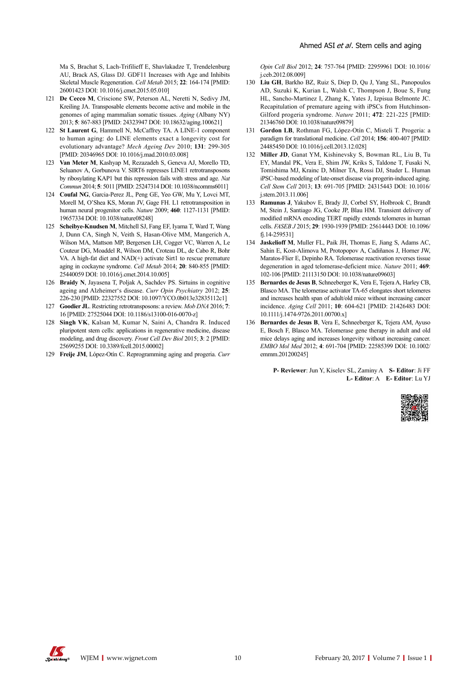Ma S, Brachat S, Lach-Trifilieff E, Shavlakadze T, Trendelenburg AU, Brack AS, Glass DJ. GDF11 Increases with Age and Inhibits Skeletal Muscle Regeneration. *Cell Metab* 2015; **22**: 164-174 [PMID: 26001423 DOI: 10.1016/j.cmet.2015.05.010]

- 121 **De Cecco M**, Criscione SW, Peterson AL, Neretti N, Sedivy JM, Kreiling JA. Transposable elements become active and mobile in the genomes of aging mammalian somatic tissues. *Aging* (Albany NY) 2013; **5**: 867-883 [PMID: 24323947 DOI: 10.18632/aging.100621]
- 122 **St Laurent G**, Hammell N, McCaffrey TA. A LINE-1 component to human aging: do LINE elements exact a longevity cost for evolutionary advantage? *Mech Ageing Dev* 2010; **131**: 299-305 [PMID: 20346965 DOI: 10.1016/j.mad.2010.03.008]
- 123 **Van Meter M**, Kashyap M, Rezazadeh S, Geneva AJ, Morello TD, Seluanov A, Gorbunova V. SIRT6 represses LINE1 retrotransposons by ribosylating KAP1 but this repression fails with stress and age. *Nat Commun* 2014; **5**: 5011 [PMID: 25247314 DOI: 10.1038/ncomms6011]
- 124 **Coufal NG**, Garcia-Perez JL, Peng GE, Yeo GW, Mu Y, Lovci MT, Morell M, O'Shea KS, Moran JV, Gage FH. L1 retrotransposition in human neural progenitor cells. *Nature* 2009; **460**: 1127-1131 [PMID: 19657334 DOI: 10.1038/nature08248]
- 125 **Scheibye-Knudsen M**, Mitchell SJ, Fang EF, Iyama T, Ward T, Wang J, Dunn CA, Singh N, Veith S, Hasan-Olive MM, Mangerich A, Wilson MA, Mattson MP, Bergersen LH, Cogger VC, Warren A, Le Couteur DG, Moaddel R, Wilson DM, Croteau DL, de Cabo R, Bohr VA. A high-fat diet and NAD(+) activate Sirt1 to rescue premature aging in cockayne syndrome. *Cell Metab* 2014; **20**: 840-855 [PMID: 25440059 DOI: 10.1016/j.cmet.2014.10.005]
- 126 **Braidy N**, Jayasena T, Poljak A, Sachdev PS. Sirtuins in cognitive ageing and Alzheimer's disease. *Curr Opin Psychiatry* 2012; **25**: 226-230 [PMID: 22327552 DOI: 10.1097/YCO.0b013e32835112c1]
- 127 **Goodier JL**. Restricting retrotransposons: a review. *Mob DNA* 2016; **7**: 16 [PMID: 27525044 DOI: 10.1186/s13100-016-0070-z]
- 128 **Singh VK**, Kalsan M, Kumar N, Saini A, Chandra R. Induced pluripotent stem cells: applications in regenerative medicine, disease modeling, and drug discovery. *Front Cell Dev Biol* 2015; **3**: 2 [PMID: 25699255 DOI: 10.3389/fcell.2015.00002]
- 129 **Freije JM**, López-Otín C. Reprogramming aging and progeria. *Curr*

*Opin Cell Biol* 2012; **24**: 757-764 [PMID: 22959961 DOI: 10.1016/ j.ceb.2012.08.009]

- 130 **Liu GH**, Barkho BZ, Ruiz S, Diep D, Qu J, Yang SL, Panopoulos AD, Suzuki K, Kurian L, Walsh C, Thompson J, Boue S, Fung HL, Sancho-Martinez I, Zhang K, Yates J, Izpisua Belmonte JC. Recapitulation of premature ageing with iPSCs from Hutchinson-Gilford progeria syndrome. *Nature* 2011; **472**: 221-225 [PMID: 21346760 DOI: 10.1038/nature09879]
- 131 **Gordon LB**, Rothman FG, López-Otín C, Misteli T. Progeria: a paradigm for translational medicine. *Cell* 2014; **156**: 400-407 [PMID: 24485450 DOI: 10.1016/j.cell.2013.12.028]
- 132 **Miller JD**, Ganat YM, Kishinevsky S, Bowman RL, Liu B, Tu EY, Mandal PK, Vera E, Shim JW, Kriks S, Taldone T, Fusaki N, Tomishima MJ, Krainc D, Milner TA, Rossi DJ, Studer L. Human iPSC-based modeling of late-onset disease via progerin-induced aging. *Cell Stem Cell* 2013; **13**: 691-705 [PMID: 24315443 DOI: 10.1016/ j.stem.2013.11.006]
- 133 **Ramunas J**, Yakubov E, Brady JJ, Corbel SY, Holbrook C, Brandt M, Stein J, Santiago JG, Cooke JP, Blau HM. Transient delivery of modified mRNA encoding TERT rapidly extends telomeres in human cells. *FASEB J* 2015; **29**: 1930-1939 [PMID: 25614443 DOI: 10.1096/ fj.14-259531]
- 134 **Jaskelioff M**, Muller FL, Paik JH, Thomas E, Jiang S, Adams AC, Sahin E, Kost-Alimova M, Protopopov A, Cadiñanos J, Horner JW, Maratos-Flier E, Depinho RA. Telomerase reactivation reverses tissue degeneration in aged telomerase-deficient mice. *Nature* 2011; **469**: 102-106 [PMID: 21113150 DOI: 10.1038/nature09603]
- 135 **Bernardes de Jesus B**, Schneeberger K, Vera E, Tejera A, Harley CB, Blasco MA. The telomerase activator TA-65 elongates short telomeres and increases health span of adult/old mice without increasing cancer incidence. *Aging Cell* 2011; **10**: 604-621 [PMID: 21426483 DOI: 10.1111/j.1474-9726.2011.00700.x]
- 136 **Bernardes de Jesus B**, Vera E, Schneeberger K, Tejera AM, Ayuso E, Bosch F, Blasco MA. Telomerase gene therapy in adult and old mice delays aging and increases longevity without increasing cancer. *EMBO Mol Med* 2012; **4**: 691-704 [PMID: 22585399 DOI: 10.1002/ emmm.201200245]

**P- Reviewer**: Jun Y, Kiselev SL, Zaminy A **S- Editor**: Ji FF **L- Editor**: A **E- Editor**: Lu YJ